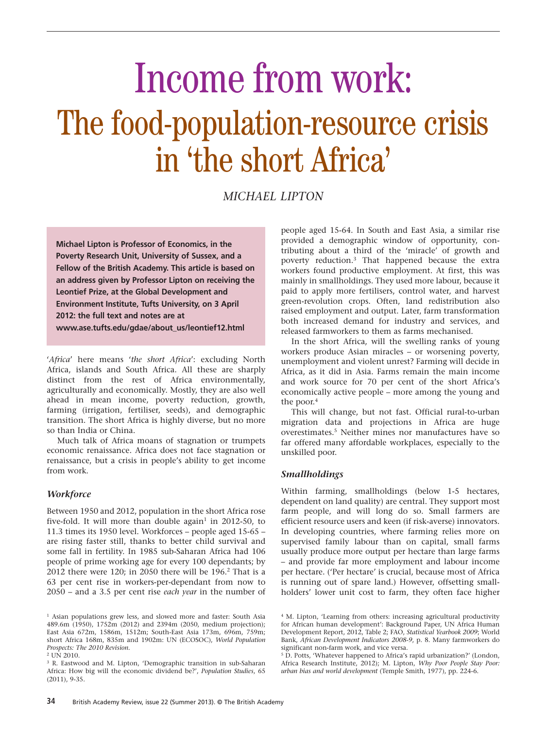# Income from work: The food-population-resource crisis in 'the short Africa'

*MICHAEL LIPTON*

**Michael Lipton is Professor of Economics, in the Poverty Research Unit, University of Sussex, and a Fellow of the British Academy. This article is based on an address given by Professor Lipton on receiving the Leontief Prize, at the Global Development and Environment Institute, Tufts University, on 3 April 2012: the full text and notes are at www.ase.tufts.edu/gdae/about\_us/leontief12.html**

'*Africa*' here means '*the short Africa*': excluding North Africa, islands and South Africa. All these are sharply distinct from the rest of Africa environmentally, agriculturally and economically. Mostly, they are also well ahead in mean income, poverty reduction, growth, farming (irrigation, fertiliser, seeds), and demographic transition. The short Africa is highly diverse, but no more so than India or China.

Much talk of Africa moans of stagnation or trumpets economic renaissance. Africa does not face stagnation or renaissance, but a crisis in people's ability to get income from work.

#### *Workforce*

Between 1950 and 2012, population in the short Africa rose five-fold. It will more than double again<sup>1</sup> in 2012-50, to 11.3 times its 1950 level. Workforces – people aged 15-65 – are rising faster still, thanks to better child survival and some fall in fertility. In 1985 sub-Saharan Africa had 106 people of prime working age for every 100 dependants; by 2012 there were 120; in 2050 there will be  $196<sup>2</sup>$  That is a 63 per cent rise in workers-per-dependant from now to 2050 – and a 3.5 per cent rise *each year* in the number of people aged 15-64. In South and East Asia, a similar rise provided a demographic window of opportunity, contributing about a third of the 'miracle' of growth and poverty reduction.3 That happened because the extra workers found productive employment. At first, this was mainly in smallholdings. They used more labour, because it paid to apply more fertilisers, control water, and harvest green-revolution crops. Often, land redistribution also raised employment and output. Later, farm transformation both increased demand for industry and services, and released farmworkers to them as farms mechanised.

In the short Africa, will the swelling ranks of young workers produce Asian miracles – or worsening poverty, unemployment and violent unrest? Farming will decide in Africa, as it did in Asia. Farms remain the main income and work source for 70 per cent of the short Africa's economically active people – more among the young and the poor.<sup>4</sup>

This will change, but not fast. Official rural-to-urban migration data and projections in Africa are huge overestimates.5 Neither mines nor manufactures have so far offered many affordable workplaces, especially to the unskilled poor.

# *Smallholdings*

Within farming, smallholdings (below 1-5 hectares, dependent on land quality) are central. They support most farm people, and will long do so. Small farmers are efficient resource users and keen (if risk-averse) innovators. In developing countries, where farming relies more on supervised family labour than on capital, small farms usually produce more output per hectare than large farms – and provide far more employment and labour income per hectare. ('Per hectare' is crucial, because most of Africa is running out of spare land.) However, offsetting smallholders' lower unit cost to farm, they often face higher

<sup>&</sup>lt;sup>1</sup> Asian populations grew less, and slowed more and faster: South Asia 489.6m (1950), 1752m (2012) and 2394m (2050, medium projection); East Asia 672m, 1586m, 1512m; South-East Asia 173m, 696m, 759m; short Africa 168m, 835m and 1902m: UN (ECOSOC), *World Population Prospects: The 2010 Revision.* 

 $2 \text{ UN } 2010.$ 

<sup>3</sup> R. Eastwood and M. Lipton, 'Demographic transition in sub-Saharan Africa: How big will the economic dividend be?', *Population Studies*, 65 (2011), 9-35.

<sup>4</sup> M. Lipton, 'Learning from others: increasing agricultural productivity for African human development': Background Paper, UN Africa Human Development Report, 2012, Table 2; FAO, *Statistical Yearbook 2009*; World Bank, *African Development Indicators 2008-9*, p. 8. Many farmworkers do significant non-farm work, and vice versa.

<sup>&</sup>lt;sup>5</sup> D. Potts, 'Whatever happened to Africa's rapid urbanization?' (London, Africa Research Institute, 2012); M. Lipton, *Why Poor People Stay Poor: urban bias and world development* (Temple Smith, 1977), pp. 224-6.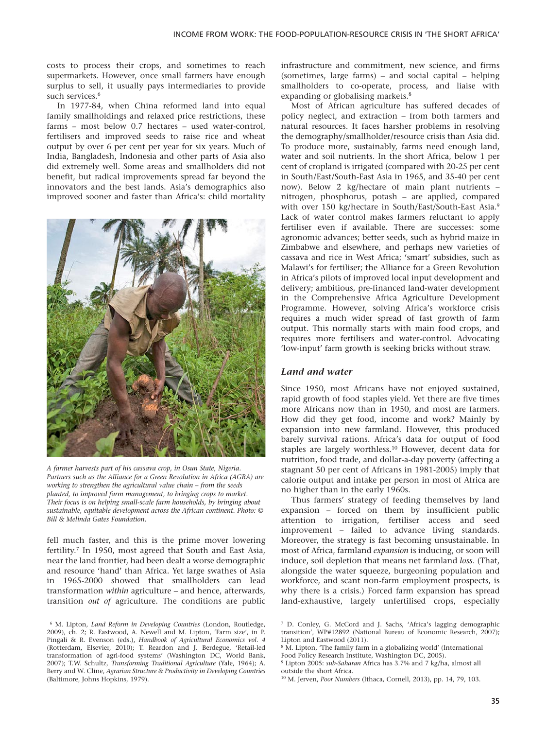costs to process their crops, and sometimes to reach supermarkets. However, once small farmers have enough surplus to sell, it usually pays intermediaries to provide such services.<sup>6</sup>

In 1977-84, when China reformed land into equal family smallholdings and relaxed price restrictions, these farms – most below 0.7 hectares – used water-control, fertilisers and improved seeds to raise rice and wheat output by over 6 per cent per year for six years. Much of India, Bangladesh, Indonesia and other parts of Asia also did extremely well. Some areas and smallholders did not benefit, but radical improvements spread far beyond the innovators and the best lands. Asia's demographics also improved sooner and faster than Africa's: child mortality



*A farmer harvests part of his cassava crop, in Osun State, Nigeria. Partners such as the Alliance for a Green Revolution in Africa (AGRA) are working to strengthen the agricultural value chain – from the seeds planted, to improved farm management, to bringing crops to market. Their focus is on helping small-scale farm households, by bringing about sustainable, equitable development across the African continent. Photo: © Bill & Melinda Gates Foundation.*

fell much faster, and this is the prime mover lowering fertility.7 In 1950, most agreed that South and East Asia, near the land frontier, had been dealt a worse demographic and resource 'hand' than Africa. Yet large swathes of Asia 1965-2000 showed that smallholders can lead transformation *within* agriculture – and hence, afterwards, transition *out of* agriculture. The conditions are public infrastructure and commitment, new science, and firms (sometimes, large farms) – and social capital – helping smallholders to co-operate, process, and liaise with expanding or globalising markets.<sup>8</sup>

Most of African agriculture has suffered decades of policy neglect, and extraction – from both farmers and natural resources. It faces harsher problems in resolving the demography/smallholder/resource crisis than Asia did. To produce more, sustainably, farms need enough land, water and soil nutrients. In the short Africa, below 1 per cent of cropland is irrigated (compared with 20-25 per cent in South/East/South-East Asia in 1965, and 35-40 per cent now). Below 2 kg/hectare of main plant nutrients – nitrogen, phosphorus, potash – are applied, compared with over 150 kg/hectare in South/East/South-East Asia.9 Lack of water control makes farmers reluctant to apply fertiliser even if available. There are successes: some agronomic advances; better seeds, such as hybrid maize in Zimbabwe and elsewhere, and perhaps new varieties of cassava and rice in West Africa; 'smart' subsidies, such as Malawi's for fertiliser; the Alliance for a Green Revolution in Africa's pilots of improved local input development and delivery; ambitious, pre-financed land-water development in the Comprehensive Africa Agriculture Development Programme. However, solving Africa's workforce crisis requires a much wider spread of fast growth of farm output. This normally starts with main food crops, and requires more fertilisers and water-control. Advocating 'low-input' farm growth is seeking bricks without straw.

#### *Land and water*

Since 1950, most Africans have not enjoyed sustained, rapid growth of food staples yield. Yet there are five times more Africans now than in 1950, and most are farmers. How did they get food, income and work? Mainly by expansion into new farmland. However, this produced barely survival rations. Africa's data for output of food staples are largely worthless.10 However, decent data for nutrition, food trade, and dollar-a-day poverty (affecting a stagnant 50 per cent of Africans in 1981-2005) imply that calorie output and intake per person in most of Africa are no higher than in the early 1960s.

Thus farmers' strategy of feeding themselves by land expansion – forced on them by insufficient public attention to irrigation, fertiliser access and seed improvement – failed to advance living standards. Moreover, the strategy is fast becoming unsustainable. In most of Africa, farmland *expansion* is inducing, or soon will induce, soil depletion that means net farmland *loss*. (That, alongside the water squeeze, burgeoning population and workforce, and scant non-farm employment prospects, is why there is a crisis.) Forced farm expansion has spread land-exhaustive, largely unfertilised crops, especially

<sup>6</sup> M. Lipton, *Land Reform in Developing Countries* (London, Routledge, 2009), ch. 2; R. Eastwood, A. Newell and M. Lipton, 'Farm size', in P. Pingali & R. Evenson (eds.), *Handbook of Agricultural Economics vol. 4* (Rotterdam, Elsevier, 2010); T. Reardon and J. Berdegue, 'Retail-led transformation of agri-food systems' (Washington DC, World Bank, 2007); T.W. Schultz, *Transforming Traditional Agriculture* (Yale, 1964); A. Berry and W. Cline, *Agrarian Structure & Productivity in Developing Countries* (Baltimore, Johns Hopkins, 1979).

<sup>7</sup> D. Conley, G. McCord and J. Sachs, 'Africa's lagging demographic transition', WP#12892 (National Bureau of Economic Research, 2007); Lipton and Eastwood (2011).

<sup>8</sup> M. Lipton, 'The family farm in a globalizing world' (International Food Policy Research Institute, Washington DC, 2005).

<sup>9</sup> Lipton 2005: *sub-Saharan* Africa has 3.7% and 7 kg/ha, almost all outside the short Africa.

<sup>10</sup> M. Jerven, *Poor Numbers* (Ithaca, Cornell, 2013), pp. 14, 79, 103.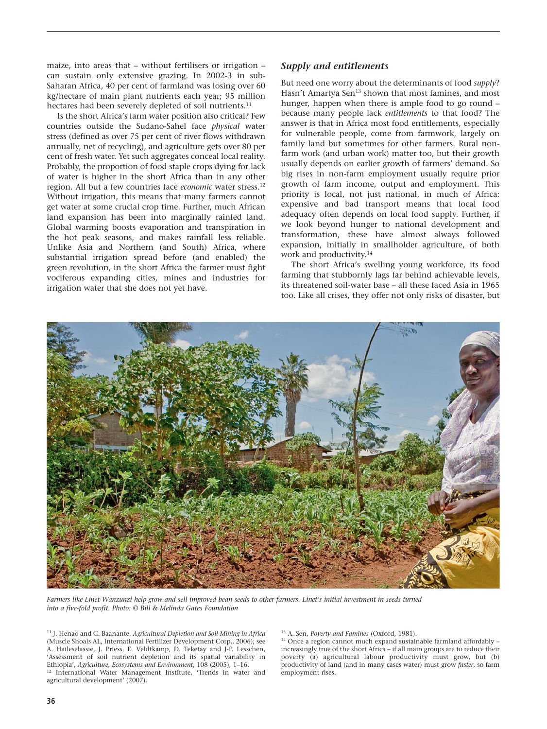maize, into areas that – without fertilisers or irrigation – can sustain only extensive grazing. In 2002-3 in sub-Saharan Africa, 40 per cent of farmland was losing over 60 kg/hectare of main plant nutrients each year; 95 million hectares had been severely depleted of soil nutrients.<sup>11</sup>

Is the short Africa's farm water position also critical? Few countries outside the Sudano-Sahel face *physical* water stress (defined as over 75 per cent of river flows withdrawn annually, net of recycling), and agriculture gets over 80 per cent of fresh water. Yet such aggregates conceal local reality. Probably, the proportion of food staple crops dying for lack of water is higher in the short Africa than in any other region. All but a few countries face *economic* water stress.12 Without irrigation, this means that many farmers cannot get water at some crucial crop time. Further, much African land expansion has been into marginally rainfed land. Global warming boosts evaporation and transpiration in the hot peak seasons, and makes rainfall less reliable. Unlike Asia and Northern (and South) Africa, where substantial irrigation spread before (and enabled) the green revolution, in the short Africa the farmer must fight vociferous expanding cities, mines and industries for irrigation water that she does not yet have.

#### *Supply and entitlements*

But need one worry about the determinants of food *supply*? Hasn't Amartya Sen<sup>13</sup> shown that most famines, and most hunger, happen when there is ample food to go round – because many people lack *entitlements* to that food? The answer is that in Africa most food entitlements, especially for vulnerable people, come from farmwork, largely on family land but sometimes for other farmers. Rural nonfarm work (and urban work) matter too, but their growth usually depends on earlier growth of farmers' demand. So big rises in non-farm employment usually require prior growth of farm income, output and employment. This priority is local, not just national, in much of Africa: expensive and bad transport means that local food adequacy often depends on local food supply. Further, if we look beyond hunger to national development and transformation, these have almost always followed expansion, initially in smallholder agriculture, of both work and productivity.<sup>14</sup>

The short Africa's swelling young workforce, its food farming that stubbornly lags far behind achievable levels, its threatened soil-water base – all these faced Asia in 1965 too. Like all crises, they offer not only risks of disaster, but



*Farmers like Linet Wanzunzi help grow and sell improved bean seeds to other farmers. Linet's initial investment in seeds turned into a five-fold profit. Photo: © Bill & Melinda Gates Foundation*

<sup>11</sup> J. Henao and C. Baanante, *Agricultural Depletion and Soil Mining in Africa* (Muscle Shoals AL, International Fertilizer Development Corp., 2006); see A. Haileselassie, J. Priess, E. Veldtkamp, D. Teketay and J-P. Lesschen, 'Assessment of soil nutrient depletion and its spatial variability in Ethiopia', *Agriculture, Ecosystems and Environment*, 108 (2005), 1–16. <sup>12</sup> International Water Management Institute, 'Trends in water and agricultural development' (2007).

<sup>13</sup> A. Sen, *Poverty and Famines* (Oxford, 1981).<br><sup>14</sup> Once a region cannot much expand sustainable farmland affordably increasingly true of the short Africa – if all main groups are to reduce their poverty (a) agricultural labour productivity must grow, but (b) productivity of land (and in many cases water) must grow *faster*, so farm employment rises.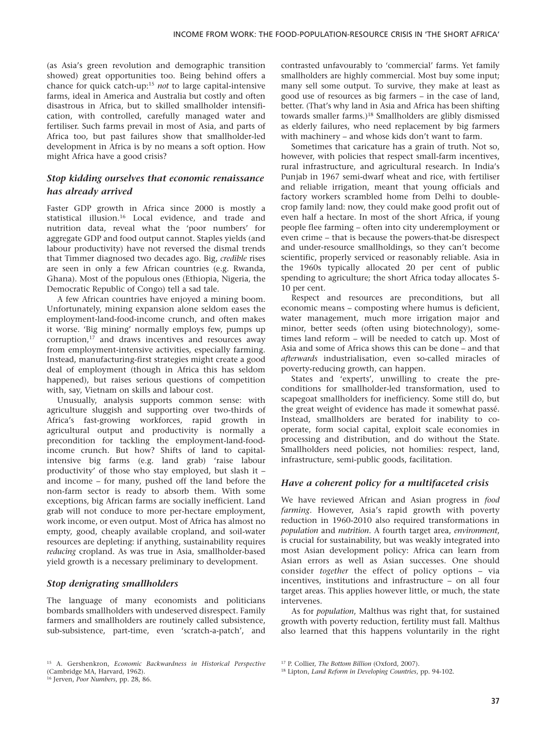(as Asia's green revolution and demographic transition showed) great opportunities too. Being behind offers a chance for quick catch-up:15 *not* to large capital-intensive farms, ideal in America and Australia but costly and often disastrous in Africa, but to skilled smallholder intensification, with controlled, carefully managed water and fertiliser. Such farms prevail in most of Asia, and parts of Africa too, but past failures show that smallholder-led development in Africa is by no means a soft option. How might Africa have a good crisis?

# *Stop kidding ourselves that economic renaissance has already arrived*

Faster GDP growth in Africa since 2000 is mostly a statistical illusion.<sup>16</sup> Local evidence, and trade and nutrition data, reveal what the 'poor numbers' for aggregate GDP and food output cannot. Staples yields (and labour productivity) have not reversed the dismal trends that Timmer diagnosed two decades ago. Big, *credible* rises are seen in only a few African countries (e.g. Rwanda, Ghana). Most of the populous ones (Ethiopia, Nigeria, the Democratic Republic of Congo) tell a sad tale.

A few African countries have enjoyed a mining boom. Unfortunately, mining expansion alone seldom eases the employment-land-food-income crunch, and often makes it worse. 'Big mining' normally employs few, pumps up corruption,17 and draws incentives and resources away from employment-intensive activities, especially farming. Instead, manufacturing-first strategies might create a good deal of employment (though in Africa this has seldom happened), but raises serious questions of competition with, say, Vietnam on skills and labour cost.

Unusually, analysis supports common sense: with agriculture sluggish and supporting over two-thirds of Africa's fast-growing workforces, rapid growth in agricultural output and productivity is normally a precondition for tackling the employment-land-foodincome crunch. But how? Shifts of land to capitalintensive big farms (e.g. land grab) 'raise labour productivity' of those who stay employed, but slash it – and income – for many, pushed off the land before the non-farm sector is ready to absorb them. With some exceptions, big African farms are socially inefficient. Land grab will not conduce to more per-hectare employment, work income, or even output. Most of Africa has almost no empty, good, cheaply available cropland, and soil-water resources are depleting: if anything, sustainability requires *reducing* cropland. As was true in Asia, smallholder-based yield growth is a necessary preliminary to development.

# *Stop denigrating smallholders*

The language of many economists and politicians bombards smallholders with undeserved disrespect. Family farmers and smallholders are routinely called subsistence, sub-subsistence, part-time, even 'scratch-a-patch', and

contrasted unfavourably to 'commercial' farms. Yet family smallholders are highly commercial. Most buy some input; many sell some output. To survive, they make at least as good use of resources as big farmers – in the case of land, better. (That's why land in Asia and Africa has been shifting towards smaller farms.)18 Smallholders are glibly dismissed as elderly failures, who need replacement by big farmers with machinery – and whose kids don't want to farm.

Sometimes that caricature has a grain of truth. Not so, however, with policies that respect small-farm incentives, rural infrastructure, and agricultural research. In India's Punjab in 1967 semi-dwarf wheat and rice, with fertiliser and reliable irrigation, meant that young officials and factory workers scrambled home from Delhi to doublecrop family land: now, they could make good profit out of even half a hectare. In most of the short Africa, if young people flee farming – often into city underemployment or even crime – that is because the powers-that-be disrespect and under-resource smallholdings, so they can't become scientific, properly serviced or reasonably reliable. Asia in the 1960s typically allocated 20 per cent of public spending to agriculture; the short Africa today allocates 5- 10 per cent.

Respect and resources are preconditions, but all economic means – composting where humus is deficient, water management, much more irrigation major and minor, better seeds (often using biotechnology), sometimes land reform – will be needed to catch up. Most of Asia and some of Africa shows this can be done – and that *afterwards* industrialisation, even so-called miracles of poverty-reducing growth, can happen.

States and 'experts', unwilling to create the preconditions for smallholder-led transformation, used to scapegoat smallholders for inefficiency. Some still do, but the great weight of evidence has made it somewhat passé. Instead, smallholders are berated for inability to cooperate, form social capital, exploit scale economies in processing and distribution, and do without the State. Smallholders need policies, not homilies: respect, land, infrastructure, semi-public goods, facilitation.

# *Have a coherent policy for a multifaceted crisis*

We have reviewed African and Asian progress in *food farming*. However, Asia's rapid growth with poverty reduction in 1960-2010 also required transformations in *population* and *nutrition*. A fourth target area, *environment*, is crucial for sustainability, but was weakly integrated into most Asian development policy: Africa can learn from Asian errors as well as Asian successes. One should consider *together* the effect of policy options – via incentives, institutions and infrastructure – on all four target areas. This applies however little, or much, the state intervenes.

As for *population*, Malthus was right that, for sustained growth with poverty reduction, fertility must fall. Malthus also learned that this happens voluntarily in the right

<sup>15</sup> A. Gershenkron, *Economic Backwardness in Historical Perspective* (Cambridge MA, Harvard, 1962).

<sup>16</sup> Jerven, *Poor Numbers*, pp. 28, 86.

<sup>17</sup> P. Collier, *The Bottom Billion* (Oxford, 2007).

<sup>18</sup> Lipton, *Land Reform in Developing Countries*, pp. 94-102.